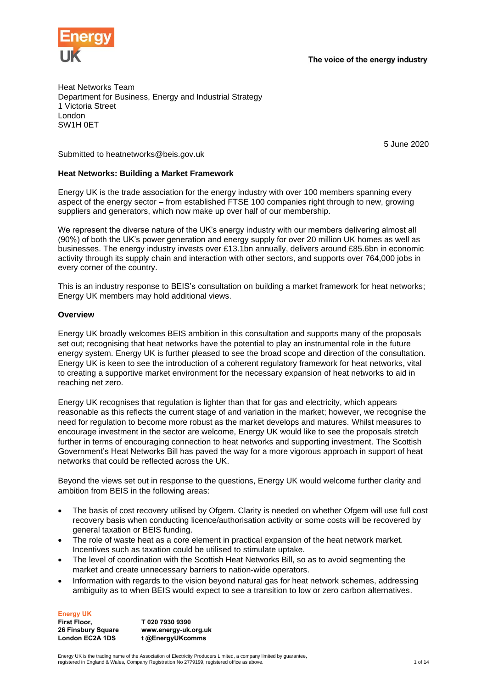The voice of the energy industry



Heat Networks Team Department for Business, Energy and Industrial Strategy 1 Victoria Street London SW1H 0ET

5 June 2020

Submitted to [heatnetworks@beis.gov.uk](mailto:heatnetworks@beis.gov.uk)

## **Heat Networks: Building a Market Framework**

Energy UK is the trade association for the energy industry with over 100 members spanning every aspect of the energy sector – from established FTSE 100 companies right through to new, growing suppliers and generators, which now make up over half of our membership.

We represent the diverse nature of the UK's energy industry with our members delivering almost all (90%) of both the UK's power generation and energy supply for over 20 million UK homes as well as businesses. The energy industry invests over £13.1bn annually, delivers around £85.6bn in economic activity through its supply chain and interaction with other sectors, and supports over 764,000 jobs in every corner of the country.

This is an industry response to BEIS's consultation on building a market framework for heat networks; Energy UK members may hold additional views.

### **Overview**

Energy UK broadly welcomes BEIS ambition in this consultation and supports many of the proposals set out; recognising that heat networks have the potential to play an instrumental role in the future energy system. Energy UK is further pleased to see the broad scope and direction of the consultation. Energy UK is keen to see the introduction of a coherent regulatory framework for heat networks, vital to creating a supportive market environment for the necessary expansion of heat networks to aid in reaching net zero.

Energy UK recognises that regulation is lighter than that for gas and electricity, which appears reasonable as this reflects the current stage of and variation in the market; however, we recognise the need for regulation to become more robust as the market develops and matures. Whilst measures to encourage investment in the sector are welcome, Energy UK would like to see the proposals stretch further in terms of encouraging connection to heat networks and supporting investment. The Scottish Government's Heat Networks Bill has paved the way for a more vigorous approach in support of heat networks that could be reflected across the UK.

Beyond the views set out in response to the questions, Energy UK would welcome further clarity and ambition from BEIS in the following areas:

- The basis of cost recovery utilised by Ofgem. Clarity is needed on whether Ofgem will use full cost recovery basis when conducting licence/authorisation activity or some costs will be recovered by general taxation or BEIS funding.
- The role of waste heat as a core element in practical expansion of the heat network market. Incentives such as taxation could be utilised to stimulate uptake.
- The level of coordination with the Scottish Heat Networks Bill, so as to avoid segmenting the market and create unnecessary barriers to nation-wide operators.
- Information with regards to the vision beyond natural gas for heat network schemes, addressing ambiguity as to when BEIS would expect to see a transition to low or zero carbon alternatives.

**Energy UK**

**First Floor, 26 Finsbury Square London EC2A 1DS T 020 7930 9390 www.energy-uk.org.uk t @EnergyUKcomms**

Energy UK is the trading name of the Association of Electricity Producers Limited, a company limited by guarantee, registered in England & Wales, Company Registration No 2779199, registered office as above. 1 of 14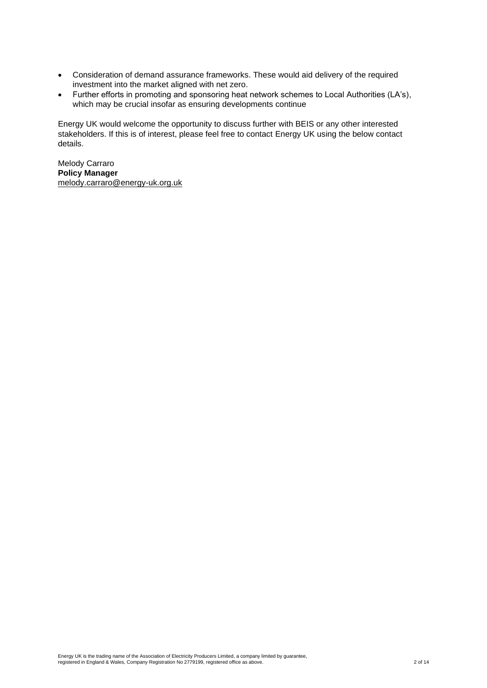- Consideration of demand assurance frameworks. These would aid delivery of the required investment into the market aligned with net zero.
- Further efforts in promoting and sponsoring heat network schemes to Local Authorities (LA's), which may be crucial insofar as ensuring developments continue

Energy UK would welcome the opportunity to discuss further with BEIS or any other interested stakeholders. If this is of interest, please feel free to contact Energy UK using the below contact details.

Melody Carraro **Policy Manager** melody.carraro@energy-uk.org.uk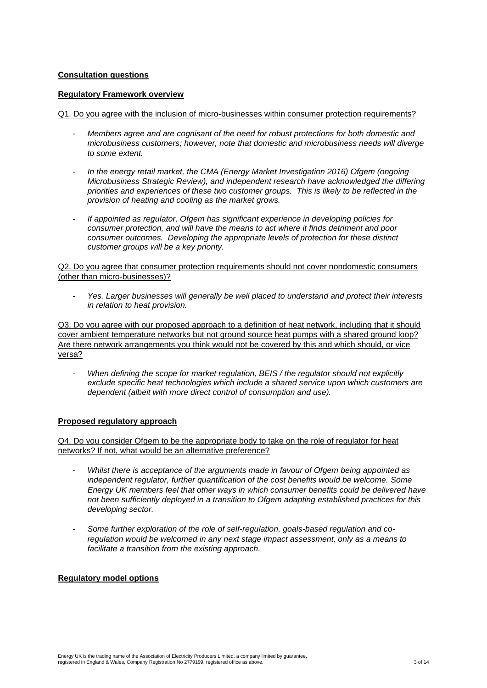# **Consultation questions**

## **Regulatory Framework overview**

#### Q1. Do you agree with the inclusion of micro-businesses within consumer protection requirements?

- *Members agree and are cognisant of the need for robust protections for both domestic and microbusiness customers; however, note that domestic and microbusiness needs will diverge to some extent.*
- *In the energy retail market, the CMA (Energy Market Investigation 2016) Ofgem (ongoing Microbusiness Strategic Review), and independent research have acknowledged the differing priorities and experiences of these two customer groups. This is likely to be reflected in the provision of heating and cooling as the market grows.*
- *If appointed as regulator, Ofgem has significant experience in developing policies for consumer protection, and will have the means to act where it finds detriment and poor consumer outcomes. Developing the appropriate levels of protection for these distinct customer groups will be a key priority.*

Q2. Do you agree that consumer protection requirements should not cover nondomestic consumers (other than micro-businesses)?

- *Yes. Larger businesses will generally be well placed to understand and protect their interests in relation to heat provision.*

Q3. Do you agree with our proposed approach to a definition of heat network, including that it should cover ambient temperature networks but not ground source heat pumps with a shared ground loop? Are there network arrangements you think would not be covered by this and which should, or vice versa?

- *When defining the scope for market regulation, BEIS / the regulator should not explicitly exclude specific heat technologies which include a shared service upon which customers are dependent (albeit with more direct control of consumption and use).*

# **Proposed regulatory approach**

Q4. Do you consider Ofgem to be the appropriate body to take on the role of regulator for heat networks? If not, what would be an alternative preference?

- *Whilst there is acceptance of the arguments made in favour of Ofgem being appointed as independent regulator, further quantification of the cost benefits would be welcome. Some Energy UK members feel that other ways in which consumer benefits could be delivered have not been sufficiently deployed in a transition to Ofgem adapting established practices for this developing sector.*
- *Some further exploration of the role of self-regulation, goals-based regulation and coregulation would be welcomed in any next stage impact assessment, only as a means to facilitate a transition from the existing approach.*

### **Regulatory model options**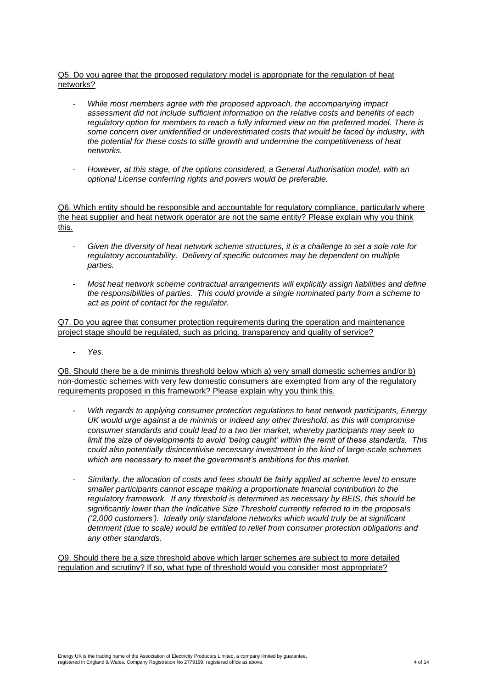Q5. Do you agree that the proposed regulatory model is appropriate for the regulation of heat networks?

- *While most members agree with the proposed approach, the accompanying impact assessment did not include sufficient information on the relative costs and benefits of each regulatory option for members to reach a fully informed view on the preferred model. There is some concern over unidentified or underestimated costs that would be faced by industry, with the potential for these costs to stifle growth and undermine the competitiveness of heat networks.*
- *However, at this stage, of the options considered, a General Authorisation model, with an optional License conferring rights and powers would be preferable.*

Q6. Which entity should be responsible and accountable for regulatory compliance, particularly where the heat supplier and heat network operator are not the same entity? Please explain why you think this.

- Given the diversity of heat network scheme structures, it is a challenge to set a sole role for *regulatory accountability. Delivery of specific outcomes may be dependent on multiple parties.*
- *Most heat network scheme contractual arrangements will explicitly assign liabilities and define the responsibilities of parties. This could provide a single nominated party from a scheme to act as point of contact for the regulator.*

Q7. Do you agree that consumer protection requirements during the operation and maintenance project stage should be regulated, such as pricing, transparency and quality of service?

- *Yes.* 

Q8. Should there be a de minimis threshold below which a) very small domestic schemes and/or b) non-domestic schemes with very few domestic consumers are exempted from any of the regulatory requirements proposed in this framework? Please explain why you think this.

- *With regards to applying consumer protection regulations to heat network participants, Energy UK would urge against a de minimis or indeed any other threshold, as this will compromise consumer standards and could lead to a two tier market, whereby participants may seek to limit the size of developments to avoid 'being caught' within the remit of these standards. This could also potentially disincentivise necessary investment in the kind of large-scale schemes which are necessary to meet the government's ambitions for this market.*
- *Similarly, the allocation of costs and fees should be fairly applied at scheme level to ensure smaller participants cannot escape making a proportionate financial contribution to the regulatory framework. If any threshold is determined as necessary by BEIS, this should be significantly lower than the Indicative Size Threshold currently referred to in the proposals ('2,000 customers'). Ideally only standalone networks which would truly be at significant detriment (due to scale) would be entitled to relief from consumer protection obligations and any other standards.*

Q9. Should there be a size threshold above which larger schemes are subject to more detailed regulation and scrutiny? If so, what type of threshold would you consider most appropriate?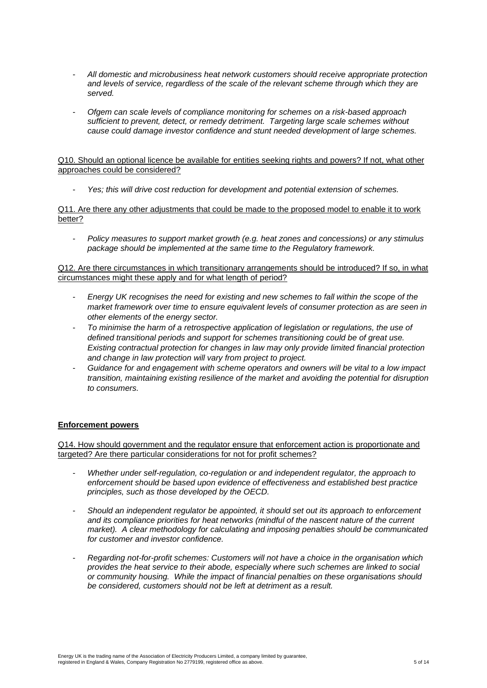- *All domestic and microbusiness heat network customers should receive appropriate protection and levels of service, regardless of the scale of the relevant scheme through which they are served.*
- *Ofgem can scale levels of compliance monitoring for schemes on a risk-based approach sufficient to prevent, detect, or remedy detriment. Targeting large scale schemes without cause could damage investor confidence and stunt needed development of large schemes.*

Q10. Should an optional licence be available for entities seeking rights and powers? If not, what other approaches could be considered?

- *Yes; this will drive cost reduction for development and potential extension of schemes.*

Q11. Are there any other adjustments that could be made to the proposed model to enable it to work better?

- *Policy measures to support market growth (e.g. heat zones and concessions) or any stimulus package should be implemented at the same time to the Regulatory framework.*

## Q12. Are there circumstances in which transitionary arrangements should be introduced? If so, in what circumstances might these apply and for what length of period?

- *Energy UK recognises the need for existing and new schemes to fall within the scope of the market framework over time to ensure equivalent levels of consumer protection as are seen in other elements of the energy sector.*
- *To minimise the harm of a retrospective application of legislation or regulations, the use of defined transitional periods and support for schemes transitioning could be of great use. Existing contractual protection for changes in law may only provide limited financial protection and change in law protection will vary from project to project.*
- *Guidance for and engagement with scheme operators and owners will be vital to a low impact transition, maintaining existing resilience of the market and avoiding the potential for disruption to consumers.*

# **Enforcement powers**

Q14. How should government and the regulator ensure that enforcement action is proportionate and targeted? Are there particular considerations for not for profit schemes?

- *Whether under self-regulation, co-regulation or and independent regulator, the approach to enforcement should be based upon evidence of effectiveness and established best practice principles, such as those developed by the OECD.*
- *Should an independent regulator be appointed, it should set out its approach to enforcement and its compliance priorities for heat networks (mindful of the nascent nature of the current market). A clear methodology for calculating and imposing penalties should be communicated for customer and investor confidence.*
- *Regarding not-for-profit schemes: Customers will not have a choice in the organisation which provides the heat service to their abode, especially where such schemes are linked to social or community housing. While the impact of financial penalties on these organisations should be considered, customers should not be left at detriment as a result.*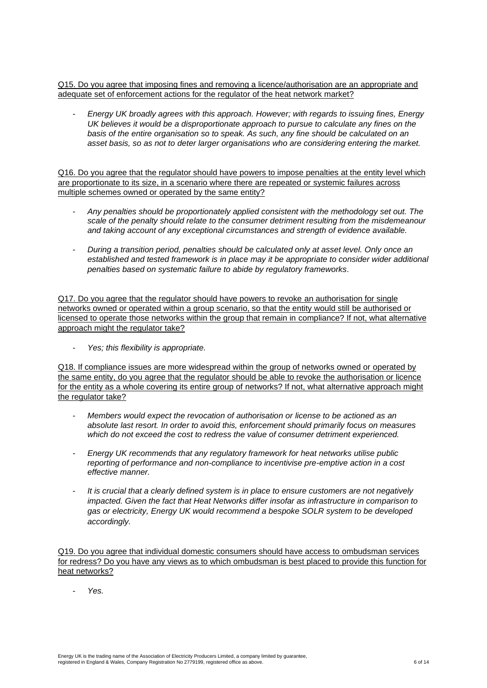Q15. Do you agree that imposing fines and removing a licence/authorisation are an appropriate and adequate set of enforcement actions for the regulator of the heat network market?

- *Energy UK broadly agrees with this approach. However; with regards to issuing fines, Energy UK believes it would be a disproportionate approach to pursue to calculate any fines on the basis of the entire organisation so to speak. As such, any fine should be calculated on an asset basis, so as not to deter larger organisations who are considering entering the market.* 

Q16. Do you agree that the regulator should have powers to impose penalties at the entity level which are proportionate to its size, in a scenario where there are repeated or systemic failures across multiple schemes owned or operated by the same entity?

- *Any penalties should be proportionately applied consistent with the methodology set out. The scale of the penalty should relate to the consumer detriment resulting from the misdemeanour and taking account of any exceptional circumstances and strength of evidence available.*
- *During a transition period, penalties should be calculated only at asset level. Only once an established and tested framework is in place may it be appropriate to consider wider additional penalties based on systematic failure to abide by regulatory frameworks.*

Q17. Do you agree that the regulator should have powers to revoke an authorisation for single networks owned or operated within a group scenario, so that the entity would still be authorised or licensed to operate those networks within the group that remain in compliance? If not, what alternative approach might the regulator take?

- *Yes; this flexibility is appropriate.* 

Q18. If compliance issues are more widespread within the group of networks owned or operated by the same entity, do you agree that the regulator should be able to revoke the authorisation or licence for the entity as a whole covering its entire group of networks? If not, what alternative approach might the regulator take?

- *Members would expect the revocation of authorisation or license to be actioned as an absolute last resort. In order to avoid this, enforcement should primarily focus on measures which do not exceed the cost to redress the value of consumer detriment experienced.*
- *Energy UK recommends that any regulatory framework for heat networks utilise public reporting of performance and non-compliance to incentivise pre-emptive action in a cost effective manner.*
- *It is crucial that a clearly defined system is in place to ensure customers are not negatively impacted. Given the fact that Heat Networks differ insofar as infrastructure in comparison to gas or electricity, Energy UK would recommend a bespoke SOLR system to be developed accordingly.*

Q19. Do you agree that individual domestic consumers should have access to ombudsman services for redress? Do you have any views as to which ombudsman is best placed to provide this function for heat networks?

- *Yes.*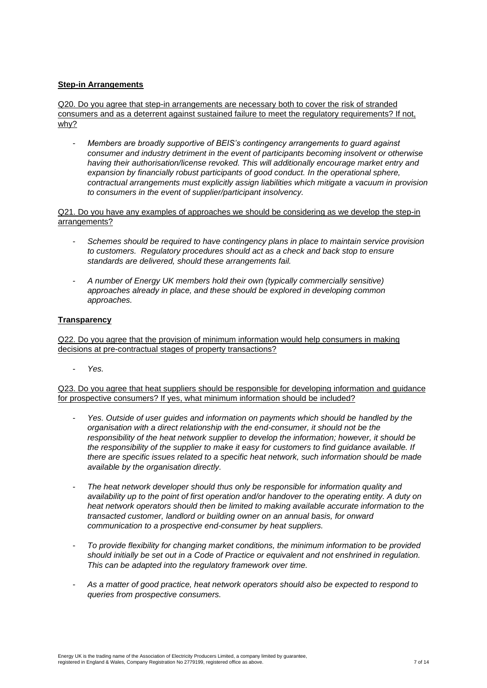# **Step-in Arrangements**

Q20. Do you agree that step-in arrangements are necessary both to cover the risk of stranded consumers and as a deterrent against sustained failure to meet the regulatory requirements? If not, why?

- *Members are broadly supportive of BEIS's contingency arrangements to guard against consumer and industry detriment in the event of participants becoming insolvent or otherwise having their authorisation/license revoked. This will additionally encourage market entry and expansion by financially robust participants of good conduct. In the operational sphere, contractual arrangements must explicitly assign liabilities which mitigate a vacuum in provision to consumers in the event of supplier/participant insolvency.*

Q21. Do you have any examples of approaches we should be considering as we develop the step-in arrangements?

- *Schemes should be required to have contingency plans in place to maintain service provision to customers. Regulatory procedures should act as a check and back stop to ensure standards are delivered, should these arrangements fail.*
- *A number of Energy UK members hold their own (typically commercially sensitive) approaches already in place, and these should be explored in developing common approaches.*

# **Transparency**

Q22. Do you agree that the provision of minimum information would help consumers in making decisions at pre-contractual stages of property transactions?

- *Yes.*

Q23. Do you agree that heat suppliers should be responsible for developing information and guidance for prospective consumers? If yes, what minimum information should be included?

- *Yes. Outside of user guides and information on payments which should be handled by the organisation with a direct relationship with the end-consumer, it should not be the responsibility of the heat network supplier to develop the information; however, it should be the responsibility of the supplier to make it easy for customers to find guidance available. If there are specific issues related to a specific heat network, such information should be made available by the organisation directly.*
- *The heat network developer should thus only be responsible for information quality and availability up to the point of first operation and/or handover to the operating entity. A duty on heat network operators should then be limited to making available accurate information to the transacted customer, landlord or building owner on an annual basis, for onward communication to a prospective end-consumer by heat suppliers.*
- *To provide flexibility for changing market conditions, the minimum information to be provided should initially be set out in a Code of Practice or equivalent and not enshrined in regulation. This can be adapted into the regulatory framework over time.*
- *As a matter of good practice, heat network operators should also be expected to respond to queries from prospective consumers.*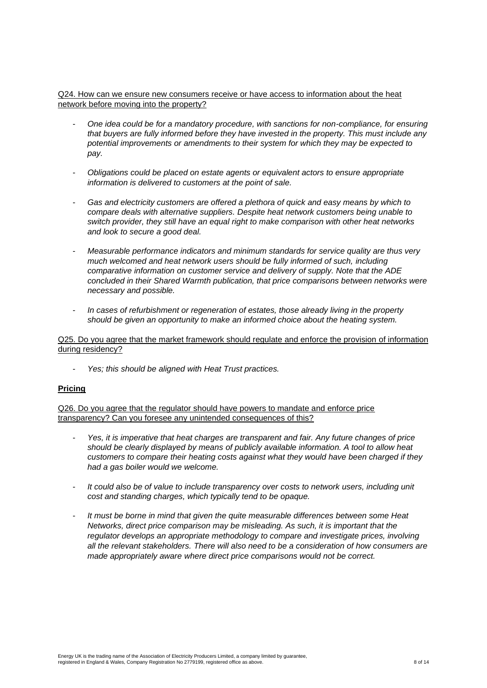Q24. How can we ensure new consumers receive or have access to information about the heat network before moving into the property?

- *One idea could be for a mandatory procedure, with sanctions for non-compliance, for ensuring that buyers are fully informed before they have invested in the property. This must include any potential improvements or amendments to their system for which they may be expected to pay.*
- *Obligations could be placed on estate agents or equivalent actors to ensure appropriate information is delivered to customers at the point of sale.*
- *Gas and electricity customers are offered a plethora of quick and easy means by which to compare deals with alternative suppliers. Despite heat network customers being unable to switch provider, they still have an equal right to make comparison with other heat networks and look to secure a good deal.*
- *Measurable performance indicators and minimum standards for service quality are thus very much welcomed and heat network users should be fully informed of such, including comparative information on customer service and delivery of supply. Note that the ADE concluded in their Shared Warmth publication, that price comparisons between networks were necessary and possible.*
- *In cases of refurbishment or regeneration of estates, those already living in the property should be given an opportunity to make an informed choice about the heating system.*

Q25. Do you agree that the market framework should regulate and enforce the provision of information during residency?

- *Yes; this should be aligned with Heat Trust practices.*

# **Pricing**

Q26. Do you agree that the regulator should have powers to mandate and enforce price transparency? Can you foresee any unintended consequences of this?

- *Yes, it is imperative that heat charges are transparent and fair. Any future changes of price should be clearly displayed by means of publicly available information. A tool to allow heat customers to compare their heating costs against what they would have been charged if they had a gas boiler would we welcome.*
- *It could also be of value to include transparency over costs to network users, including unit cost and standing charges, which typically tend to be opaque.*
- *It must be borne in mind that given the quite measurable differences between some Heat Networks, direct price comparison may be misleading. As such, it is important that the regulator develops an appropriate methodology to compare and investigate prices, involving all the relevant stakeholders. There will also need to be a consideration of how consumers are made appropriately aware where direct price comparisons would not be correct.*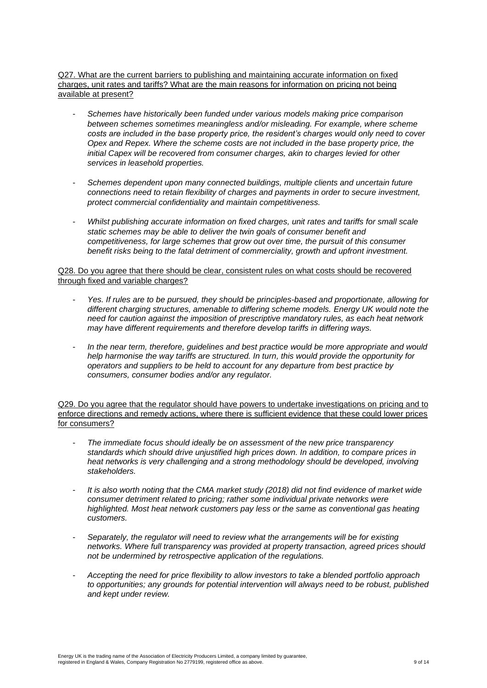Q27. What are the current barriers to publishing and maintaining accurate information on fixed charges, unit rates and tariffs? What are the main reasons for information on pricing not being available at present?

- *Schemes have historically been funded under various models making price comparison between schemes sometimes meaningless and/or misleading. For example, where scheme costs are included in the base property price, the resident's charges would only need to cover Opex and Repex. Where the scheme costs are not included in the base property price, the initial Capex will be recovered from consumer charges, akin to charges levied for other services in leasehold properties.*
- *Schemes dependent upon many connected buildings, multiple clients and uncertain future connections need to retain flexibility of charges and payments in order to secure investment, protect commercial confidentiality and maintain competitiveness.*
- *Whilst publishing accurate information on fixed charges, unit rates and tariffs for small scale static schemes may be able to deliver the twin goals of consumer benefit and competitiveness, for large schemes that grow out over time, the pursuit of this consumer benefit risks being to the fatal detriment of commerciality, growth and upfront investment.*

Q28. Do you agree that there should be clear, consistent rules on what costs should be recovered through fixed and variable charges?

- *Yes. If rules are to be pursued, they should be principles-based and proportionate, allowing for different charging structures, amenable to differing scheme models. Energy UK would note the need for caution against the imposition of prescriptive mandatory rules, as each heat network may have different requirements and therefore develop tariffs in differing ways.*
- *In the near term, therefore, guidelines and best practice would be more appropriate and would help harmonise the way tariffs are structured. In turn, this would provide the opportunity for operators and suppliers to be held to account for any departure from best practice by consumers, consumer bodies and/or any regulator.*

Q29. Do you agree that the regulator should have powers to undertake investigations on pricing and to enforce directions and remedy actions, where there is sufficient evidence that these could lower prices for consumers?

- *The immediate focus should ideally be on assessment of the new price transparency standards which should drive unjustified high prices down. In addition, to compare prices in*  heat networks is very challenging and a strong methodology should be developed, involving *stakeholders.*
- *It is also worth noting that the CMA market study (2018) did not find evidence of market wide consumer detriment related to pricing; rather some individual private networks were highlighted. Most heat network customers pay less or the same as conventional gas heating customers.*
- *Separately, the regulator will need to review what the arrangements will be for existing networks. Where full transparency was provided at property transaction, agreed prices should not be undermined by retrospective application of the regulations.*
- *Accepting the need for price flexibility to allow investors to take a blended portfolio approach to opportunities; any grounds for potential intervention will always need to be robust, published and kept under review.*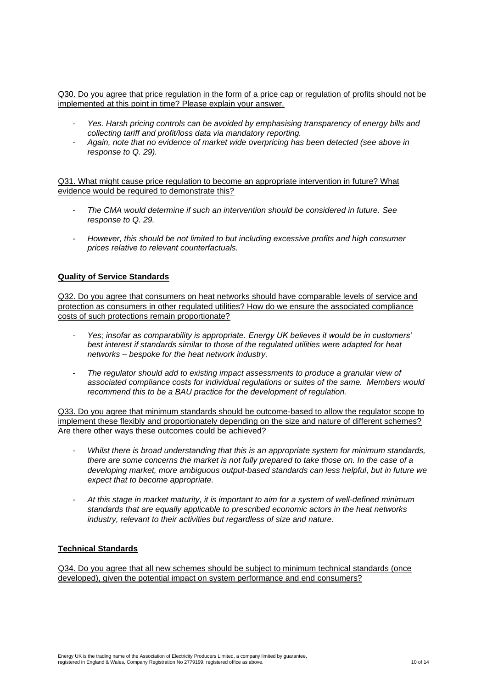Q30. Do you agree that price regulation in the form of a price cap or regulation of profits should not be implemented at this point in time? Please explain your answer.

- *Yes. Harsh pricing controls can be avoided by emphasising transparency of energy bills and collecting tariff and profit/loss data via mandatory reporting.*
- *Again, note that no evidence of market wide overpricing has been detected (see above in response to Q. 29).*

Q31. What might cause price regulation to become an appropriate intervention in future? What evidence would be required to demonstrate this?

- *The CMA would determine if such an intervention should be considered in future. See response to Q. 29.*
- *However, this should be not limited to but including excessive profits and high consumer prices relative to relevant counterfactuals.*

## **Quality of Service Standards**

Q32. Do you agree that consumers on heat networks should have comparable levels of service and protection as consumers in other regulated utilities? How do we ensure the associated compliance costs of such protections remain proportionate?

- *Yes; insofar as comparability is appropriate. Energy UK believes it would be in customers' best interest if standards similar to those of the regulated utilities were adapted for heat networks – bespoke for the heat network industry.*
- *The regulator should add to existing impact assessments to produce a granular view of associated compliance costs for individual regulations or suites of the same. Members would recommend this to be a BAU practice for the development of regulation.*

Q33. Do you agree that minimum standards should be outcome-based to allow the regulator scope to implement these flexibly and proportionately depending on the size and nature of different schemes? Are there other ways these outcomes could be achieved?

- *Whilst there is broad understanding that this is an appropriate system for minimum standards, there are some concerns the market is not fully prepared to take those on. In the case of a developing market, more ambiguous output-based standards can less helpful, but in future we expect that to become appropriate.*
- *At this stage in market maturity, it is important to aim for a system of well-defined minimum standards that are equally applicable to prescribed economic actors in the heat networks industry, relevant to their activities but regardless of size and nature.*

### **Technical Standards**

Q34. Do you agree that all new schemes should be subject to minimum technical standards (once developed), given the potential impact on system performance and end consumers?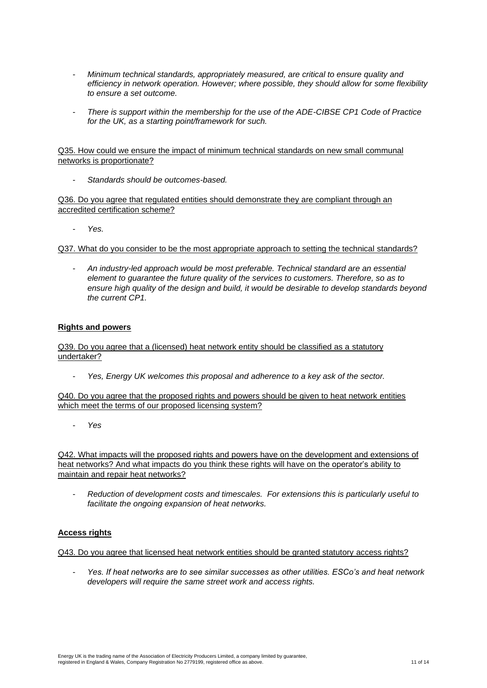- *Minimum technical standards, appropriately measured, are critical to ensure quality and efficiency in network operation. However; where possible, they should allow for some flexibility to ensure a set outcome.*
- *There is support within the membership for the use of the ADE-CIBSE CP1 Code of Practice for the UK, as a starting point/framework for such.*

Q35. How could we ensure the impact of minimum technical standards on new small communal networks is proportionate?

- *Standards should be outcomes-based.*

Q36. Do you agree that regulated entities should demonstrate they are compliant through an accredited certification scheme?

- *Yes.*

Q37. What do you consider to be the most appropriate approach to setting the technical standards?

- *An industry-led approach would be most preferable. Technical standard are an essential element to guarantee the future quality of the services to customers. Therefore, so as to ensure high quality of the design and build, it would be desirable to develop standards beyond the current CP1.*

# **Rights and powers**

Q39. Do you agree that a (licensed) heat network entity should be classified as a statutory undertaker?

- *Yes, Energy UK welcomes this proposal and adherence to a key ask of the sector.*

Q40. Do you agree that the proposed rights and powers should be given to heat network entities which meet the terms of our proposed licensing system?

- *Yes* 

Q42. What impacts will the proposed rights and powers have on the development and extensions of heat networks? And what impacts do you think these rights will have on the operator's ability to maintain and repair heat networks?

- *Reduction of development costs and timescales. For extensions this is particularly useful to facilitate the ongoing expansion of heat networks.*

# **Access rights**

Q43. Do you agree that licensed heat network entities should be granted statutory access rights?

- *Yes. If heat networks are to see similar successes as other utilities. ESCo's and heat network developers will require the same street work and access rights.*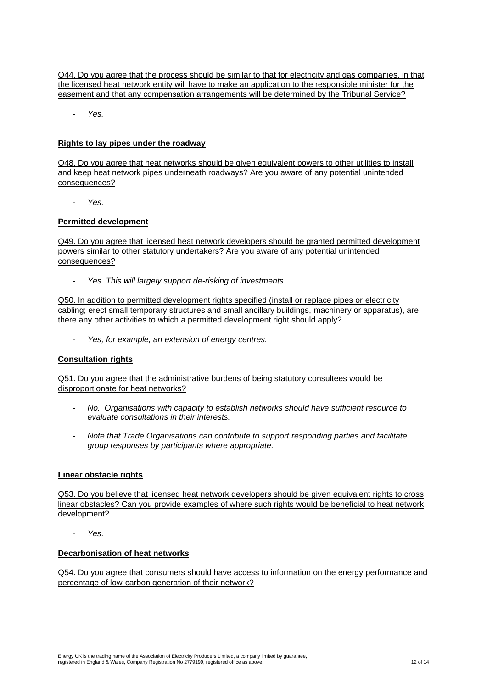Q44. Do you agree that the process should be similar to that for electricity and gas companies, in that the licensed heat network entity will have to make an application to the responsible minister for the easement and that any compensation arrangements will be determined by the Tribunal Service?

- *Yes.*

## **Rights to lay pipes under the roadway**

Q48. Do you agree that heat networks should be given equivalent powers to other utilities to install and keep heat network pipes underneath roadways? Are you aware of any potential unintended consequences?

- *Yes.* 

## **Permitted development**

Q49. Do you agree that licensed heat network developers should be granted permitted development powers similar to other statutory undertakers? Are you aware of any potential unintended consequences?

- *Yes. This will largely support de-risking of investments.* 

Q50. In addition to permitted development rights specified (install or replace pipes or electricity cabling; erect small temporary structures and small ancillary buildings, machinery or apparatus), are there any other activities to which a permitted development right should apply?

- *Yes, for example, an extension of energy centres.*

### **Consultation rights**

Q51. Do you agree that the administrative burdens of being statutory consultees would be disproportionate for heat networks?

- *No. Organisations with capacity to establish networks should have sufficient resource to evaluate consultations in their interests.*
- *Note that Trade Organisations can contribute to support responding parties and facilitate group responses by participants where appropriate.*

### **Linear obstacle rights**

Q53. Do you believe that licensed heat network developers should be given equivalent rights to cross linear obstacles? Can you provide examples of where such rights would be beneficial to heat network development?

- *Yes.* 

### **Decarbonisation of heat networks**

Q54. Do you agree that consumers should have access to information on the energy performance and percentage of low-carbon generation of their network?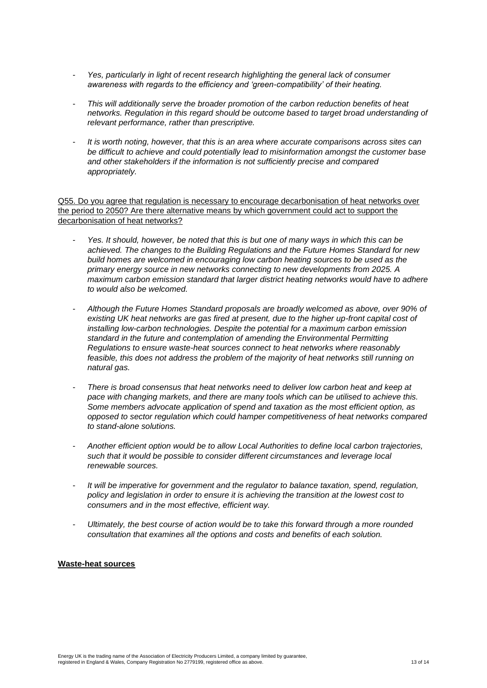- *Yes, particularly in light of recent research highlighting the general lack of consumer awareness with regards to the efficiency and 'green-compatibility' of their heating.*
- *This will additionally serve the broader promotion of the carbon reduction benefits of heat networks. Regulation in this regard should be outcome based to target broad understanding of relevant performance, rather than prescriptive.*
- *It is worth noting, however, that this is an area where accurate comparisons across sites can be difficult to achieve and could potentially lead to misinformation amongst the customer base and other stakeholders if the information is not sufficiently precise and compared appropriately.*

Q55. Do you agree that regulation is necessary to encourage decarbonisation of heat networks over the period to 2050? Are there alternative means by which government could act to support the decarbonisation of heat networks?

- *Yes. It should, however, be noted that this is but one of many ways in which this can be achieved. The changes to the Building Regulations and the Future Homes Standard for new build homes are welcomed in encouraging low carbon heating sources to be used as the primary energy source in new networks connecting to new developments from 2025. A maximum carbon emission standard that larger district heating networks would have to adhere to would also be welcomed.*
- *Although the Future Homes Standard proposals are broadly welcomed as above, over 90% of existing UK heat networks are gas fired at present, due to the higher up-front capital cost of installing low-carbon technologies. Despite the potential for a maximum carbon emission standard in the future and contemplation of amending the Environmental Permitting Regulations to ensure waste-heat sources connect to heat networks where reasonably feasible, this does not address the problem of the majority of heat networks still running on natural gas.*
- *There is broad consensus that heat networks need to deliver low carbon heat and keep at pace with changing markets, and there are many tools which can be utilised to achieve this. Some members advocate application of spend and taxation as the most efficient option, as opposed to sector regulation which could hamper competitiveness of heat networks compared to stand-alone solutions.*
- *Another efficient option would be to allow Local Authorities to define local carbon trajectories, such that it would be possible to consider different circumstances and leverage local renewable sources.*
- *It will be imperative for government and the regulator to balance taxation, spend, regulation, policy and legislation in order to ensure it is achieving the transition at the lowest cost to consumers and in the most effective, efficient way.*
- *Ultimately, the best course of action would be to take this forward through a more rounded consultation that examines all the options and costs and benefits of each solution.*

# **Waste-heat sources**